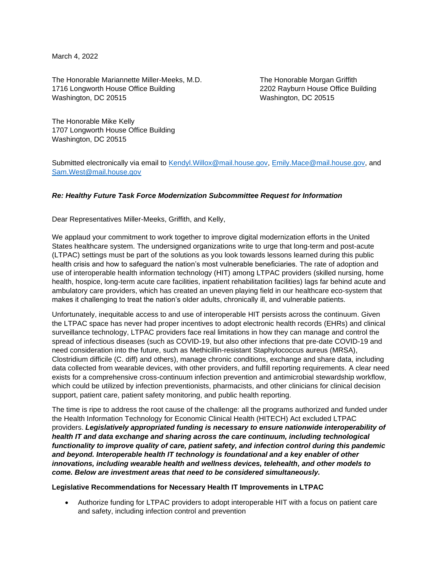March 4, 2022

The Honorable Mariannette Miller-Meeks, M.D. The Honorable Morgan Griffith 1716 Longworth House Office Building 2202 Rayburn House Office Building Washington, DC 20515 Washington, DC 20515

The Honorable Mike Kelly 1707 Longworth House Office Building Washington, DC 20515

Submitted electronically via email to Kendyl. Willox@mail.house.gov, [Emily.Mace@mail.house.gov,](mailto:Emily.Mace@mail.house.gov) and [Sam.West@mail.house.gov](mailto:Sam.West@mail.house.gov)

## *Re: Healthy Future Task Force Modernization Subcommittee Request for Information*

Dear Representatives Miller-Meeks, Griffith, and Kelly,

We applaud your commitment to work together to improve digital modernization efforts in the United States healthcare system. The undersigned organizations write to urge that long-term and post-acute (LTPAC) settings must be part of the solutions as you look towards lessons learned during this public health crisis and how to safeguard the nation's most vulnerable beneficiaries. The rate of adoption and use of interoperable health information technology (HIT) among LTPAC providers (skilled nursing, home health, hospice, long-term acute care facilities, inpatient rehabilitation facilities) lags far behind acute and ambulatory care providers, which has created an uneven playing field in our healthcare eco-system that makes it challenging to treat the nation's older adults, chronically ill, and vulnerable patients.

Unfortunately, inequitable access to and use of interoperable HIT persists across the continuum. Given the LTPAC space has never had proper incentives to adopt electronic health records (EHRs) and clinical surveillance technology, LTPAC providers face real limitations in how they can manage and control the spread of infectious diseases (such as COVID-19, but also other infections that pre-date COVID-19 and need consideration into the future, such as Methicillin-resistant Staphylococcus aureus (MRSA), Clostridium difficile (C. diff) and others), manage chronic conditions, exchange and share data, including data collected from wearable devices, with other providers, and fulfill reporting requirements. A clear need exists for a comprehensive cross-continuum infection prevention and antimicrobial stewardship workflow, which could be utilized by infection preventionists, pharmacists, and other clinicians for clinical decision support, patient care, patient safety monitoring, and public health reporting.

The time is ripe to address the root cause of the challenge: all the programs authorized and funded under the Health Information Technology for Economic Clinical Health (HITECH) Act excluded LTPAC providers. *Legislatively appropriated funding is necessary to ensure nationwide interoperability of health IT and data exchange and sharing across the care continuum, including technological functionality to improve quality of care, patient safety, and infection control during this pandemic and beyond. Interoperable health IT technology is foundational and a key enabler of other innovations, including wearable health and wellness devices, telehealth, and other models to come. Below are investment areas that need to be considered simultaneously.*

## **Legislative Recommendations for Necessary Health IT Improvements in LTPAC**

• Authorize funding for LTPAC providers to adopt interoperable HIT with a focus on patient care and safety, including infection control and prevention